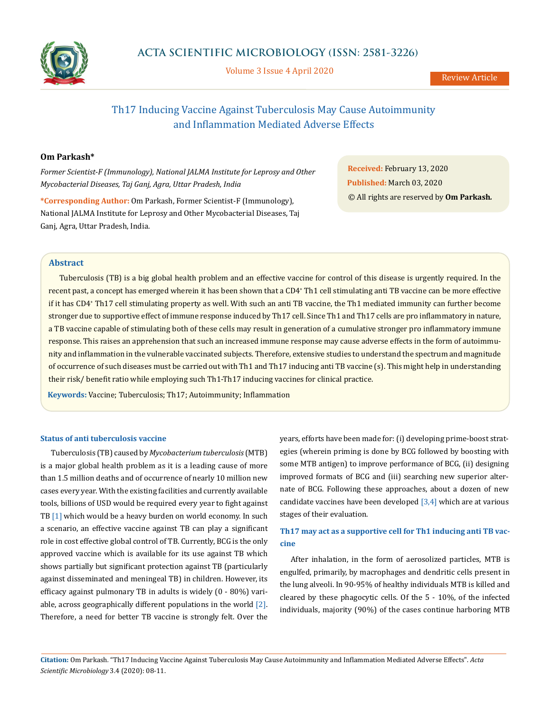

Volume 3 Issue 4 April 2020

# Th17 Inducing Vaccine Against Tuberculosis May Cause Autoimmunity and Inflammation Mediated Adverse Effects

### **Om Parkash\***

*Former Scientist-F (Immunology), National JALMA Institute for Leprosy and Other Mycobacterial Diseases, Taj Ganj, Agra, Uttar Pradesh, India*

**\*Corresponding Author:** Om Parkash, Former Scientist-F (Immunology), National JALMA Institute for Leprosy and Other Mycobacterial Diseases, Taj Ganj, Agra, Uttar Pradesh, India.

**Received:** February 13, 2020 **Published:** March 03, 2020 © All rights are reserved by **Om Parkash***.*

### **Abstract**

Tuberculosis (TB) is a big global health problem and an effective vaccine for control of this disease is urgently required. In the recent past, a concept has emerged wherein it has been shown that a CD4\* Th1 cell stimulating anti TB vaccine can be more effective if it has CD4<sup>+</sup> Th17 cell stimulating property as well. With such an anti TB vaccine, the Th1 mediated immunity can further become stronger due to supportive effect of immune response induced by Th17 cell. Since Th1 and Th17 cells are pro inflammatory in nature, a TB vaccine capable of stimulating both of these cells may result in generation of a cumulative stronger pro inflammatory immune response. This raises an apprehension that such an increased immune response may cause adverse effects in the form of autoimmunity and inflammation in the vulnerable vaccinated subjects. Therefore, extensive studies to understand the spectrum and magnitude of occurrence of such diseases must be carried out with Th1 and Th17 inducing anti TB vaccine (s). This might help in understanding their risk/ benefit ratio while employing such Th1-Th17 inducing vaccines for clinical practice.

**Keywords:** Vaccine; Tuberculosis; Th17; Autoimmunity; Inflammation

### **Status of anti tuberculosis vaccine**

Tuberculosis (TB) caused by *Mycobacterium tuberculosis* (MTB) is a major global health problem as it is a leading cause of more than 1.5 million deaths and of occurrence of nearly 10 million new cases every year. With the existing facilities and currently available tools, billions of USD would be required every year to fight against TB [1] which would be a heavy burden on world economy. In such a scenario, an effective vaccine against TB can play a significant role in cost effective global control of TB. Currently, BCG is the only approved vaccine which is available for its use against TB which shows partially but significant protection against TB (particularly against disseminated and meningeal TB) in children. However, its efficacy against pulmonary TB in adults is widely (0 - 80%) variable, across geographically different populations in the world [2]. Therefore, a need for better TB vaccine is strongly felt. Over the years, efforts have been made for: (i) developing prime-boost strategies (wherein priming is done by BCG followed by boosting with some MTB antigen) to improve performance of BCG, (ii) designing improved formats of BCG and (iii) searching new superior alternate of BCG. Following these approaches, about a dozen of new candidate vaccines have been developed  $[3,4]$  which are at various stages of their evaluation.

# **Th17 may act as a supportive cell for Th1 inducing anti TB vaccine**

After inhalation, in the form of aerosolized particles, MTB is engulfed, primarily, by macrophages and dendritic cells present in the lung alveoli. In 90-95% of healthy individuals MTB is killed and cleared by these phagocytic cells. Of the 5 - 10%, of the infected individuals, majority (90%) of the cases continue harboring MTB

**Citation:** Om Parkash*.* "Th17 Inducing Vaccine Against Tuberculosis May Cause Autoimmunity and Inflammation Mediated Adverse Effects". *Acta Scientific Microbiology* 3.4 (2020): 08-11.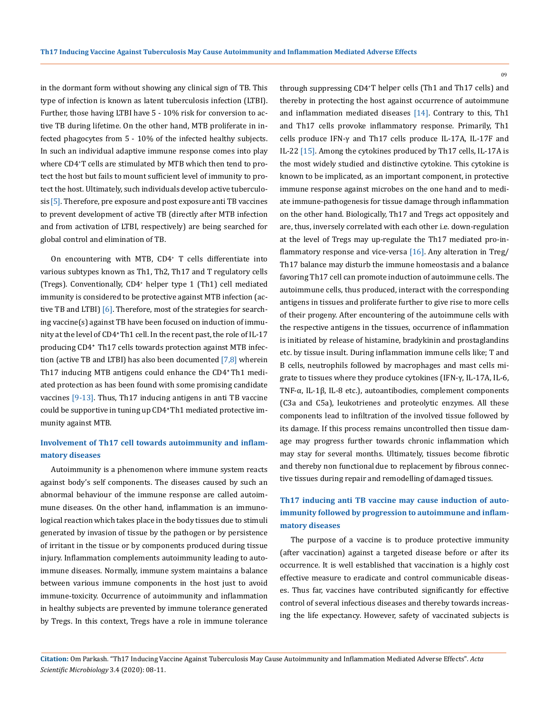in the dormant form without showing any clinical sign of TB. This type of infection is known as latent tuberculosis infection (LTBI). Further, those having LTBI have 5 - 10% risk for conversion to active TB during lifetime. On the other hand, MTB proliferate in infected phagocytes from 5 - 10% of the infected healthy subjects. In such an individual adaptive immune response comes into play where CD4<sup>+</sup> T cells are stimulated by MTB which then tend to protect the host but fails to mount sufficient level of immunity to protect the host. Ultimately, such individuals develop active tuberculosis [5]. Therefore, pre exposure and post exposure anti TB vaccines to prevent development of active TB (directly after MTB infection and from activation of LTBI, respectively) are being searched for global control and elimination of TB.

On encountering with MTB, CD4<sup>+</sup> T cells differentiate into various subtypes known as Th1, Th2, Th17 and T regulatory cells (Tregs). Conventionally, CD4<sup>+</sup> helper type 1 (Th1) cell mediated immunity is considered to be protective against MTB infection (active TB and LTBI) [6]. Therefore, most of the strategies for searching vaccine(s) against TB have been focused on induction of immunity at the level of CD4**<sup>+</sup>**Th1 cell. In the recent past, the role of IL-17 producing CD4**<sup>+</sup>** Th17 cells towards protection against MTB infection (active TB and LTBI) has also been documented [7,8] wherein Th17 inducing MTB antigens could enhance the CD4**<sup>+</sup>**Th1 mediated protection as has been found with some promising candidate vaccines [9-13]. Thus, Th17 inducing antigens in anti TB vaccine could be supportive in tuning up CD4**<sup>+</sup>**Th1 mediated protective immunity against MTB.

# **Involvement of Th17 cell towards autoimmunity and inflammatory diseases**

Autoimmunity is a phenomenon where immune system reacts against body's self components. The diseases caused by such an abnormal behaviour of the immune response are called autoimmune diseases. On the other hand, inflammation is an immunological reaction which takes place in the body tissues due to stimuli generated by invasion of tissue by the pathogen or by persistence of irritant in the tissue or by components produced during tissue injury. Inflammation complements autoimmunity leading to autoimmune diseases. Normally, immune system maintains a balance between various immune components in the host just to avoid immune-toxicity. Occurrence of autoimmunity and inflammation in healthy subjects are prevented by immune tolerance generated by Tregs. In this context, Tregs have a role in immune tolerance

through suppressing CD4<sup>+</sup> T helper cells (Th1 and Th17 cells) and thereby in protecting the host against occurrence of autoimmune and inflammation mediated diseases [14]. Contrary to this, Th1 and Th17 cells provoke inflammatory response. Primarily, Th1 cells produce IFN-γ and Th17 cells produce IL-17A, IL-17F and IL-22 [15]. Among the cytokines produced by Th17 cells, IL-17A is the most widely studied and distinctive cytokine. This cytokine is known to be implicated, as an important component, in protective immune response against microbes on the one hand and to mediate immune-pathogenesis for tissue damage through inflammation on the other hand. Biologically, Th17 and Tregs act oppositely and are, thus, inversely correlated with each other i.e. down-regulation at the level of Tregs may up-regulate the Th17 mediated pro-inflammatory response and vice-versa [16]. Any alteration in Treg/ Th17 balance may disturb the immune homeostasis and a balance favoring Th17 cell can promote induction of autoimmune cells. The autoimmune cells, thus produced, interact with the corresponding antigens in tissues and proliferate further to give rise to more cells of their progeny. After encountering of the autoimmune cells with the respective antigens in the tissues, occurrence of inflammation is initiated by release of histamine, bradykinin and prostaglandins etc. by tissue insult. During inflammation immune cells like; T and B cells, neutrophils followed by macrophages and mast cells migrate to tissues where they produce cytokines (IFN-γ, IL-17A, IL-6, TNF-α, IL-1β, IL-8 etc.), autoantibodies, complement components (C3a and C5a), leukotrienes and proteolytic enzymes. All these components lead to infiltration of the involved tissue followed by its damage. If this process remains uncontrolled then tissue damage may progress further towards chronic inflammation which may stay for several months. Ultimately, tissues become fibrotic and thereby non functional due to replacement by fibrous connective tissues during repair and remodelling ofdamaged tissues.

# **Th17 inducing anti TB vaccine may cause induction of autoimmunity followed by progression to autoimmune and inflammatory diseases**

The purpose of a vaccine is to produce protective immunity (after vaccination) against a targeted disease before or after its occurrence. It is well established that vaccination is a highly cost effective measure to eradicate and control communicable diseases. Thus far, vaccines have contributed significantly for effective control of several infectious diseases and thereby towards increasing the life expectancy. However, safety of vaccinated subjects is

**Citation:** Om Parkash*.* "Th17 Inducing Vaccine Against Tuberculosis May Cause Autoimmunity and Inflammation Mediated Adverse Effects". *Acta Scientific Microbiology* 3.4 (2020): 08-11.

09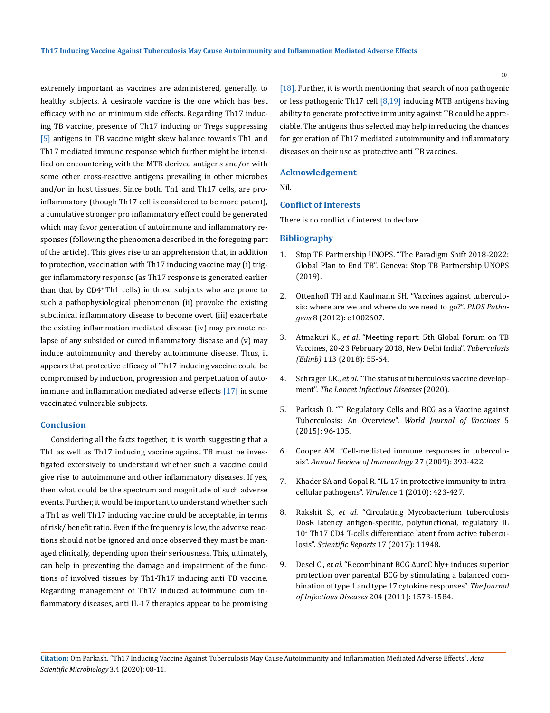extremely important as vaccines are administered, generally, to healthy subjects. A desirable vaccine is the one which has best efficacy with no or minimum side effects. Regarding Th17 inducing TB vaccine, presence of Th17 inducing or Tregs suppressing [5] antigens in TB vaccine might skew balance towards Th1 and Th17 mediated immune response which further might be intensified on encountering with the MTB derived antigens and/or with some other cross-reactive antigens prevailing in other microbes and/or in host tissues. Since both, Th1 and Th17 cells, are proinflammatory (though Th17 cell is considered to be more potent), a cumulative stronger pro inflammatory effect could be generated which may favor generation of autoimmune and inflammatory responses (following the phenomena described in the foregoing part of the article). This gives rise to an apprehension that, in addition to protection, vaccination with Th17 inducing vaccine may (i) trigger inflammatory response (as Th17 response is generated earlier than that by CD4**<sup>+</sup>** Th1 cells) in those subjects who are prone to such a pathophysiological phenomenon (ii) provoke the existing subclinical inflammatory disease to become overt (iii) exacerbate the existing inflammation mediated disease (iv) may promote relapse of any subsided or cured inflammatory disease and (v) may induce autoimmunity and thereby autoimmune disease. Thus, it appears that protective efficacy of Th17 inducing vaccine could be compromised by induction, progression and perpetuation of autoimmune and inflammation mediated adverse effects [17] in some vaccinated vulnerable subjects.

### **Conclusion**

Considering all the facts together, it is worth suggesting that a Th1 as well as Th17 inducing vaccine against TB must be investigated extensively to understand whether such a vaccine could give rise to autoimmune and other inflammatory diseases. If yes, then what could be the spectrum and magnitude of such adverse events. Further, it would be important to understand whether such a Th1 as well Th17 inducing vaccine could be acceptable, in terms of risk/ benefit ratio. Even if the frequency is low, the adverse reactions should not be ignored and once observed they must be managed clinically, depending upon their seriousness. This, ultimately, can help in preventing the damage and impairment of the functions of involved tissues by Th1-Th17 inducing anti TB vaccine. Regarding management of Th17 induced autoimmune cum inflammatory diseases, anti IL-17 therapies appear to be promising [18]. Further, it is worth mentioning that search of non pathogenic or less pathogenic Th17 cell  $[8,19]$  inducing MTB antigens having ability to generate protective immunity against TB could be appreciable. The antigens thus selected may help in reducing the chances for generation of Th17 mediated autoimmunity and inflammatory diseases on their use as protective anti TB vaccines.

### **Acknowledgement**

Nil.

#### **Conflict of Interests**

There is no conflict of interest to declare.

### **Bibliography**

- 1. Stop TB Partnership UNOPS. "The Paradigm Shift 2018-2022: Global Plan to End TB". Geneva: Stop TB Partnership UNOPS (2019).
- 2. [Ottenhoff TH and Kaufmann SH. "Vaccines against tuberculo](https://www.ncbi.nlm.nih.gov/pubmed/22589713)[sis: where are we and where do we need to go?".](https://www.ncbi.nlm.nih.gov/pubmed/22589713) *PLOS Pathogens* [8 \(2012\): e1002607.](https://www.ncbi.nlm.nih.gov/pubmed/22589713)
- 3. Atmakuri K., *et al*[. "Meeting report: 5th Global Forum on TB](https://www.ncbi.nlm.nih.gov/pubmed/30514514)  [Vaccines, 20-23 February 2018, New Delhi India".](https://www.ncbi.nlm.nih.gov/pubmed/30514514) *Tuberculosis (Edinb)* [113 \(2018\): 55-64.](https://www.ncbi.nlm.nih.gov/pubmed/30514514)
- 4. Schrager LK., *et al*[. "The status of tuberculosis vaccine develop](https://www.ncbi.nlm.nih.gov/pubmed/32014117)ment". *[The Lancet Infectious Diseases](https://www.ncbi.nlm.nih.gov/pubmed/32014117)* (2020).
- 5. [Parkash O. "T Regulatory Cells and BCG as a Vaccine against](https://www.researchgate.net/publication/276165198_T_Regulatory_Cells_and_BCG_as_a_Vaccine_against_Tuberculosis_An_Overview)  Tuberculosis: An Overview". *[World Journal of Vaccines](https://www.researchgate.net/publication/276165198_T_Regulatory_Cells_and_BCG_as_a_Vaccine_against_Tuberculosis_An_Overview)* 5 [\(2015\): 96-105.](https://www.researchgate.net/publication/276165198_T_Regulatory_Cells_and_BCG_as_a_Vaccine_against_Tuberculosis_An_Overview)
- 6. [Cooper AM. "Cell-mediated immune responses in tuberculo](https://www.ncbi.nlm.nih.gov/pubmed/19302046)sis". *[Annual Review of Immunology](https://www.ncbi.nlm.nih.gov/pubmed/19302046)* 27 (2009): 393-422.
- 7. Khader SA and Gopal [R. "IL-17 in protective immunity to intra](https://www.ncbi.nlm.nih.gov/pubmed/21178483)[cellular pathogens".](https://www.ncbi.nlm.nih.gov/pubmed/21178483) *Virulence* 1 (2010): 423-427.
- 8. Rakshit S., *et al*[. "Circulating Mycobacterium tuberculosis](https://www.ncbi.nlm.nih.gov/pubmed/28931830)  [DosR latency antigen-specific, polyfunctional, regulatory IL](https://www.ncbi.nlm.nih.gov/pubmed/28931830)  10+  [Th17 CD4 T-cells differentiate latent from active tubercu](https://www.ncbi.nlm.nih.gov/pubmed/28931830)losis". *[Scientific Reports](https://www.ncbi.nlm.nih.gov/pubmed/28931830)* 17 (2017): 11948.
- 9. Desel C., *et al*[. "Recombinant BCG ΔureC hly+ induces superior](https://www.ncbi.nlm.nih.gov/pmc/articles/PMC3192191/)  [protection over parental BCG by stimulating a balanced com](https://www.ncbi.nlm.nih.gov/pmc/articles/PMC3192191/)[bination of type 1 and type 17 cytokine responses".](https://www.ncbi.nlm.nih.gov/pmc/articles/PMC3192191/) *The Journal of Infectious Diseases* [204 \(2011\): 1573-1584.](https://www.ncbi.nlm.nih.gov/pmc/articles/PMC3192191/)

10

**Citation:** Om Parkash*.* "Th17 Inducing Vaccine Against Tuberculosis May Cause Autoimmunity and Inflammation Mediated Adverse Effects". *Acta Scientific Microbiology* 3.4 (2020): 08-11.